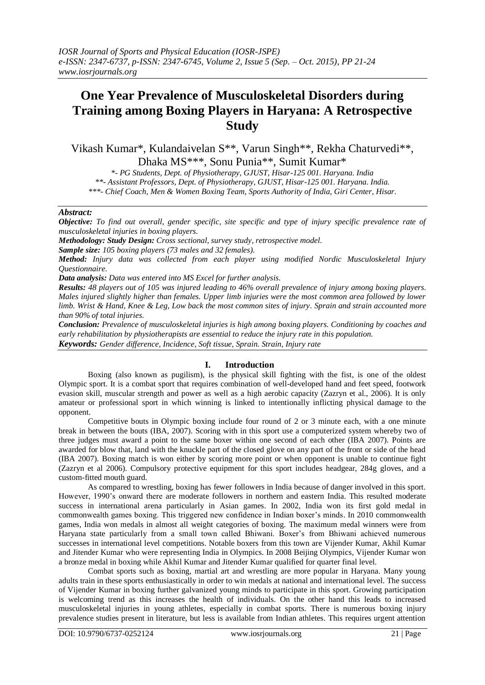# **One Year Prevalence of Musculoskeletal Disorders during Training among Boxing Players in Haryana: A Retrospective Study**

Vikash Kumar\*, Kulandaivelan S\*\*, Varun Singh\*\*, Rekha Chaturvedi\*\*, Dhaka MS\*\*\*, Sonu Punia\*\*, Sumit Kumar\*

*\*- PG Students, Dept. of Physiotherapy, GJUST, Hisar-125 001. Haryana. India \*\*- Assistant Professors, Dept. of Physiotherapy, GJUST, Hisar-125 001. Haryana. India. \*\*\*- Chief Coach, Men & Women Boxing Team, Sports Authority of India, Giri Center, Hisar.*

## *Abstract:*

*Objective: To find out overall, gender specific, site specific and type of injury specific prevalence rate of musculoskeletal injuries in boxing players.* 

*Methodology: Study Design: Cross sectional, survey study, retrospective model.* 

*Sample size: 105 boxing players (73 males and 32 females).*

*Method: Injury data was collected from each player using modified Nordic Musculoskeletal Injury Questionnaire.* 

*Data analysis: Data was entered into MS Excel for further analysis.* 

*Results: 48 players out of 105 was injured leading to 46% overall prevalence of injury among boxing players. Males injured slightly higher than females. Upper limb injuries were the most common area followed by lower limb. Wrist & Hand, Knee & Leg, Low back the most common sites of injury. Sprain and strain accounted more than 90% of total injuries.*

*Conclusion: Prevalence of musculoskeletal injuries is high among boxing players. Conditioning by coaches and early rehabilitation by physiotherapists are essential to reduce the injury rate in this population. Keywords: Gender difference, Incidence, Soft tissue, Sprain. Strain, Injury rate*

# **I. Introduction**

Boxing (also known as pugilism), is the physical skill fighting with the fist, is one of the oldest Olympic sport. It is a combat sport that requires combination of well-developed hand and feet speed, footwork evasion skill, muscular strength and power as well as a high aerobic capacity (Zazryn et al., 2006). It is only amateur or professional sport in which winning is linked to intentionally inflicting physical damage to the opponent.

Competitive bouts in Olympic boxing include four round of 2 or 3 minute each, with a one minute break in between the bouts (IBA, 2007). Scoring with in this sport use a computerized system whereby two of three judges must award a point to the same boxer within one second of each other (IBA 2007). Points are awarded for blow that, land with the knuckle part of the closed glove on any part of the front or side of the head (IBA 2007). Boxing match is won either by scoring more point or when opponent is unable to continue fight (Zazryn et al 2006). Compulsory protective equipment for this sport includes headgear, 284g gloves, and a custom-fitted mouth guard.

As compared to wrestling, boxing has fewer followers in India because of danger involved in this sport. However, 1990"s onward there are moderate followers in northern and eastern India. This resulted moderate success in international arena particularly in Asian games. In 2002, India won its first gold medal in commonwealth games boxing. This triggered new confidence in Indian boxer's minds. In 2010 commonwealth games, India won medals in almost all weight categories of boxing. The maximum medal winners were from Haryana state particularly from a small town called Bhiwani. Boxer"s from Bhiwani achieved numerous successes in international level competitions. Notable boxers from this town are Vijender Kumar, Akhil Kumar and Jitender Kumar who were representing India in Olympics. In 2008 Beijing Olympics, Vijender Kumar won a bronze medal in boxing while Akhil Kumar and Jitender Kumar qualified for quarter final level.

Combat sports such as boxing, martial art and wrestling are more popular in Haryana. Many young adults train in these sports enthusiastically in order to win medals at national and international level. The success of Vijender Kumar in boxing further galvanized young minds to participate in this sport. Growing participation is welcoming trend as this increases the health of individuals. On the other hand this leads to increased musculoskeletal injuries in young athletes, especially in combat sports. There is numerous boxing injury prevalence studies present in literature, but less is available from Indian athletes. This requires urgent attention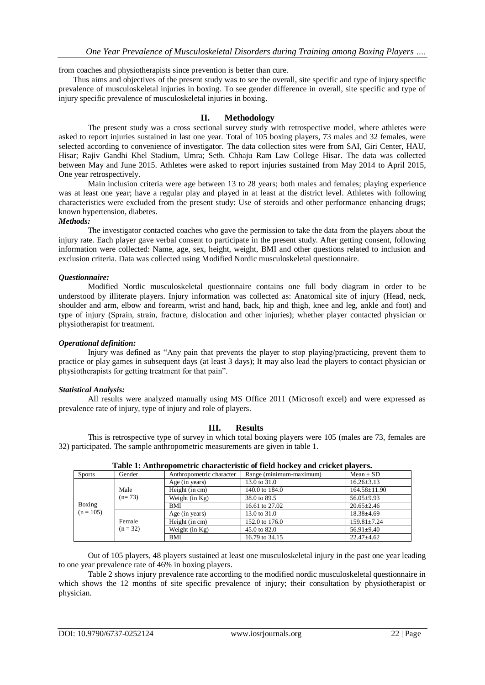from coaches and physiotherapists since prevention is better than cure.

Thus aims and objectives of the present study was to see the overall, site specific and type of injury specific prevalence of musculoskeletal injuries in boxing. To see gender difference in overall, site specific and type of injury specific prevalence of musculoskeletal injuries in boxing.

## **II. Methodology**

The present study was a cross sectional survey study with retrospective model, where athletes were asked to report injuries sustained in last one year. Total of 105 boxing players, 73 males and 32 females, were selected according to convenience of investigator. The data collection sites were from SAI, Giri Center, HAU, Hisar; Rajiv Gandhi Khel Stadium, Umra; Seth. Chhaju Ram Law College Hisar. The data was collected between May and June 2015. Athletes were asked to report injuries sustained from May 2014 to April 2015, One year retrospectively.

Main inclusion criteria were age between 13 to 28 years; both males and females; playing experience was at least one year; have a regular play and played in at least at the district level. Athletes with following characteristics were excluded from the present study: Use of steroids and other performance enhancing drugs; known hypertension, diabetes.

#### *Methods:*

The investigator contacted coaches who gave the permission to take the data from the players about the injury rate. Each player gave verbal consent to participate in the present study. After getting consent, following information were collected: Name, age, sex, height, weight, BMI and other questions related to inclusion and exclusion criteria. Data was collected using Modified Nordic musculoskeletal questionnaire.

## *Questionnaire:*

Modified Nordic musculoskeletal questionnaire contains one full body diagram in order to be understood by illiterate players. Injury information was collected as: Anatomical site of injury (Head, neck, shoulder and arm, elbow and forearm, wrist and hand, back, hip and thigh, knee and leg, ankle and foot) and type of injury (Sprain, strain, fracture, dislocation and other injuries); whether player contacted physician or physiotherapist for treatment.

## *Operational definition:*

Injury was defined as "Any pain that prevents the player to stop playing/practicing, prevent them to practice or play games in subsequent days (at least 3 days); It may also lead the players to contact physician or physiotherapists for getting treatment for that pain".

#### *Statistical Analysis:*

All results were analyzed manually using MS Office 2011 (Microsoft excel) and were expressed as prevalence rate of injury, type of injury and role of players.

## **III. Results**

This is retrospective type of survey in which total boxing players were 105 (males are 73, females are 32) participated. The sample anthropometric measurements are given in table 1.

| Table 1. Alltill opoliteti it characteristic of field hockey and cricket players. |                      |                          |                         |                    |  |  |  |  |
|-----------------------------------------------------------------------------------|----------------------|--------------------------|-------------------------|--------------------|--|--|--|--|
| <b>Sports</b>                                                                     | Gender               | Anthropometric character | Range (minimum-maximum) | Mean $\pm$ SD      |  |  |  |  |
|                                                                                   |                      | Age (in years)           | 13.0 to 31.0            | $16.26 \pm 3.13$   |  |  |  |  |
| Boxing<br>$(n = 105)$                                                             | Male<br>$(n=73)$     | Height (in cm)           | 140.0 to 184.0          | $164.58 \pm 11.90$ |  |  |  |  |
|                                                                                   |                      | Weight $(in Kg)$         | 38.0 to 89.5            | $56.05 \pm 9.93$   |  |  |  |  |
|                                                                                   |                      | BMI                      | 16.61 to 27.02          | $20.65 \pm 2.46$   |  |  |  |  |
|                                                                                   | Female<br>$(n = 32)$ | Age (in years)           | 13.0 to 31.0            | $18.38 \pm 4.69$   |  |  |  |  |
|                                                                                   |                      | Height (in cm)           | 152.0 to 176.0          | $159.81 \pm 7.24$  |  |  |  |  |
|                                                                                   |                      | Weight $(in Kg)$         | $45.0 \text{ to } 82.0$ | $56.91 \pm 9.40$   |  |  |  |  |
|                                                                                   |                      | BMI                      | 16.79 to 34.15          | $22.47 \pm 4.62$   |  |  |  |  |

**Table 1: Anthropometric characteristic of field hockey and cricket players.**

Out of 105 players, 48 players sustained at least one musculoskeletal injury in the past one year leading to one year prevalence rate of 46% in boxing players.

Table 2 shows injury prevalence rate according to the modified nordic musculoskeletal questionnaire in which shows the 12 months of site specific prevalence of injury; their consultation by physiotherapist or physician.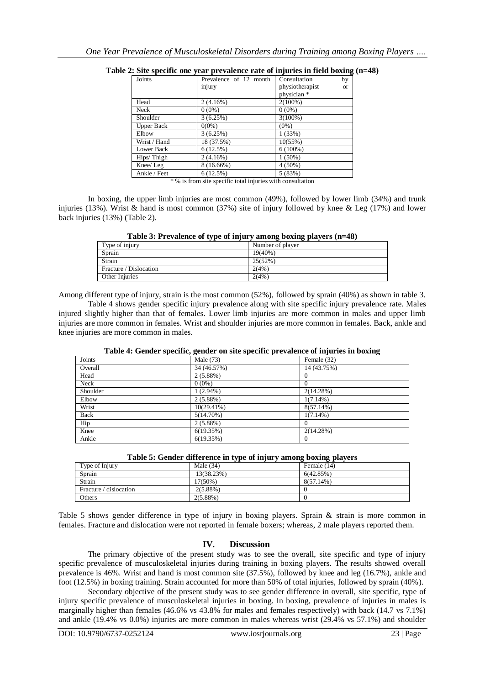| Joints            | Prevalence of 12 month | Consultation    | by        |
|-------------------|------------------------|-----------------|-----------|
|                   | injury                 | physiotherapist | <b>or</b> |
|                   |                        | physician *     |           |
| Head              | 2(4.16%)               | $2(100\%)$      |           |
| Neck              | $0(0\%)$               | $0(0\%)$        |           |
| Shoulder          | 3(6.25%)               | $3(100\%)$      |           |
| <b>Upper Back</b> | $0(0\%)$               | $(0\%)$         |           |
| Elbow             | 3(6.25%)               | 1(33%)          |           |
| Wrist / Hand      | 18 (37.5%)             | $10(55\%)$      |           |
| Lower Back        | 6(12.5%)               | $6(100\%)$      |           |
| Hips/Thigh        | 2(4.16%)               | $1(50\%)$       |           |
| Knee/Leg          | $8(16.66\%)$           | $4(50\%)$       |           |
| Ankle / Feet      | 6(12.5%)               | 5(83%)          |           |

|  |  | Table 2: Site specific one year prevalence rate of injuries in field boxing (n=48) |  |  |  |
|--|--|------------------------------------------------------------------------------------|--|--|--|
|  |  |                                                                                    |  |  |  |

\* % is from site specific total injuries with consultation

In boxing, the upper limb injuries are most common (49%), followed by lower limb (34%) and trunk injuries (13%). Wrist  $\&$  hand is most common (37%) site of injury followed by knee  $\&$  Leg (17%) and lower back injuries (13%) (Table 2).

|  |  |  | Table 3: Prevalence of type of injury among boxing players (n=48) |
|--|--|--|-------------------------------------------------------------------|
|  |  |  |                                                                   |

|                        | <br>-<br>. .     |
|------------------------|------------------|
| Type of injury         | Number of player |
| Sprain                 | $19(40\%)$       |
| Strain                 | 25(52%)          |
| Fracture / Dislocation | 2(4%             |
| Other Injuries         | 2(4%             |
|                        |                  |

Among different type of injury, strain is the most common (52%), followed by sprain (40%) as shown in table 3.

Table 4 shows gender specific injury prevalence along with site specific injury prevalence rate. Males injured slightly higher than that of females. Lower limb injuries are more common in males and upper limb injuries are more common in females. Wrist and shoulder injuries are more common in females. Back, ankle and knee injuries are more common in males.

| Joints   | $\sim$<br>Male (73) | $\tilde{}$<br>Female (32) |
|----------|---------------------|---------------------------|
| Overall  | 34 (46.57%)         | 14 (43.75%)               |
| Head     | $2(5.88\%)$         |                           |
| Neck     | $0(0\%)$            |                           |
| Shoulder | $1(2.94\%)$         | 2(14.28%)                 |
| Elbow    | $2(5.88\%)$         | $1(7.14\%)$               |
| Wrist    | $10(29.41\%)$       | $8(57.14\%)$              |
| Back     | $5(14.70\%)$        | $1(7.14\%)$               |
| Hip      | 2(5.88%)            |                           |
| Knee     | 6(19.35%)           | 2(14.28%)                 |
| Ankle    | 6(19.35%)           | 0                         |

**Table 4: Gender specific, gender on site specific prevalence of injuries in boxing**

|  | Table 5: Gender difference in type of injury among boxing players |  |  |  |
|--|-------------------------------------------------------------------|--|--|--|
|  |                                                                   |  |  |  |

| Type of Injury         | Male $(34)$ | Female (14)  |
|------------------------|-------------|--------------|
| Sprain                 | 13(38.23%)  | 6(42.85%)    |
| Strain                 | 17(50%)     | $8(57.14\%)$ |
| Fracture / dislocation | $2(5.88\%)$ |              |
| Others                 | $2(5.88\%)$ |              |

Table 5 shows gender difference in type of injury in boxing players. Sprain & strain is more common in females. Fracture and dislocation were not reported in female boxers; whereas, 2 male players reported them.

## **IV. Discussion**

The primary objective of the present study was to see the overall, site specific and type of injury specific prevalence of musculoskeletal injuries during training in boxing players. The results showed overall prevalence is 46%. Wrist and hand is most common site (37.5%), followed by knee and leg (16.7%), ankle and foot (12.5%) in boxing training. Strain accounted for more than 50% of total injuries, followed by sprain (40%).

Secondary objective of the present study was to see gender difference in overall, site specific, type of injury specific prevalence of musculoskeletal injuries in boxing. In boxing, prevalence of injuries in males is marginally higher than females (46.6% vs 43.8% for males and females respectively) with back (14.7 vs 7.1%) and ankle (19.4% vs 0.0%) injuries are more common in males whereas wrist (29.4% vs 57.1%) and shoulder